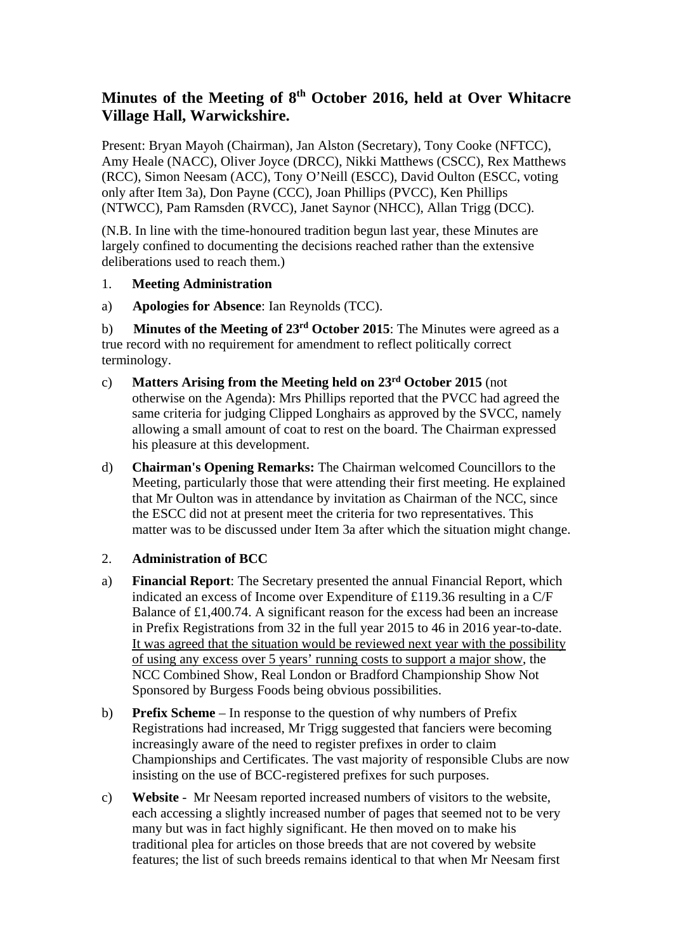# **Minutes of the Meeting of 8th October 2016, held at Over Whitacre Village Hall, Warwickshire.**

Present: Bryan Mayoh (Chairman), Jan Alston (Secretary), Tony Cooke (NFTCC), Amy Heale (NACC), Oliver Joyce (DRCC), Nikki Matthews (CSCC), Rex Matthews (RCC), Simon Neesam (ACC), Tony O'Neill (ESCC), David Oulton (ESCC, voting only after Item 3a), Don Payne (CCC), Joan Phillips (PVCC), Ken Phillips (NTWCC), Pam Ramsden (RVCC), Janet Saynor (NHCC), Allan Trigg (DCC).

(N.B. In line with the time-honoured tradition begun last year, these Minutes are largely confined to documenting the decisions reached rather than the extensive deliberations used to reach them.)

# 1. **Meeting Administration**

a) **Apologies for Absence**: Ian Reynolds (TCC).

b) **Minutes of the Meeting of 23rd October 2015**: The Minutes were agreed as a true record with no requirement for amendment to reflect politically correct terminology.

- c) **Matters Arising from the Meeting held on 23rd October 2015** (not otherwise on the Agenda): Mrs Phillips reported that the PVCC had agreed the same criteria for judging Clipped Longhairs as approved by the SVCC, namely allowing a small amount of coat to rest on the board. The Chairman expressed his pleasure at this development.
- d) **Chairman's Opening Remarks:** The Chairman welcomed Councillors to the Meeting, particularly those that were attending their first meeting. He explained that Mr Oulton was in attendance by invitation as Chairman of the NCC, since the ESCC did not at present meet the criteria for two representatives. This matter was to be discussed under Item 3a after which the situation might change.

#### 2. **Administration of BCC**

- a) **Financial Report**: The Secretary presented the annual Financial Report, which indicated an excess of Income over Expenditure of £119.36 resulting in a C/F Balance of £1,400.74. A significant reason for the excess had been an increase in Prefix Registrations from 32 in the full year 2015 to 46 in 2016 year-to-date. It was agreed that the situation would be reviewed next year with the possibility of using any excess over 5 years' running costs to support a major show, the NCC Combined Show, Real London or Bradford Championship Show Not Sponsored by Burgess Foods being obvious possibilities.
- b) **Prefix Scheme** In response to the question of why numbers of Prefix Registrations had increased, Mr Trigg suggested that fanciers were becoming increasingly aware of the need to register prefixes in order to claim Championships and Certificates. The vast majority of responsible Clubs are now insisting on the use of BCC-registered prefixes for such purposes.
- c) **Website** Mr Neesam reported increased numbers of visitors to the website, each accessing a slightly increased number of pages that seemed not to be very many but was in fact highly significant. He then moved on to make his traditional plea for articles on those breeds that are not covered by website features; the list of such breeds remains identical to that when Mr Neesam first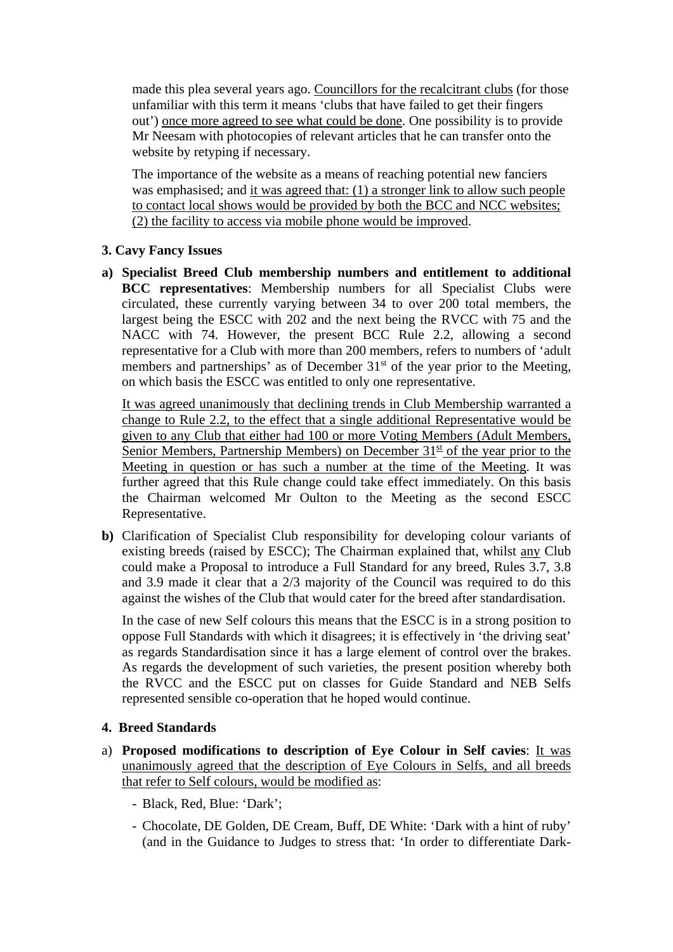made this plea several years ago. Councillors for the recalcitrant clubs (for those unfamiliar with this term it means 'clubs that have failed to get their fingers out') once more agreed to see what could be done. One possibility is to provide Mr Neesam with photocopies of relevant articles that he can transfer onto the website by retyping if necessary.

The importance of the website as a means of reaching potential new fanciers was emphasised; and it was agreed that: (1) a stronger link to allow such people to contact local shows would be provided by both the BCC and NCC websites; (2) the facility to access via mobile phone would be improved.

## **3. Cavy Fancy Issues**

**a) Specialist Breed Club membership numbers and entitlement to additional BCC representatives**: Membership numbers for all Specialist Clubs were circulated, these currently varying between 34 to over 200 total members, the largest being the ESCC with 202 and the next being the RVCC with 75 and the NACC with 74. However, the present BCC Rule 2.2, allowing a second representative for a Club with more than 200 members, refers to numbers of 'adult members and partnerships' as of December  $31<sup>st</sup>$  of the year prior to the Meeting, on which basis the ESCC was entitled to only one representative.

It was agreed unanimously that declining trends in Club Membership warranted a change to Rule 2.2, to the effect that a single additional Representative would be given to any Club that either had 100 or more Voting Members (Adult Members, Senior Members, Partnership Members) on December  $31<sup>st</sup>$  of the year prior to the Meeting in question or has such a number at the time of the Meeting. It was further agreed that this Rule change could take effect immediately. On this basis the Chairman welcomed Mr Oulton to the Meeting as the second ESCC Representative.

**b)** Clarification of Specialist Club responsibility for developing colour variants of existing breeds (raised by ESCC); The Chairman explained that, whilst any Club could make a Proposal to introduce a Full Standard for any breed, Rules 3.7, 3.8 and 3.9 made it clear that a 2/3 majority of the Council was required to do this against the wishes of the Club that would cater for the breed after standardisation.

In the case of new Self colours this means that the ESCC is in a strong position to oppose Full Standards with which it disagrees; it is effectively in 'the driving seat' as regards Standardisation since it has a large element of control over the brakes. As regards the development of such varieties, the present position whereby both the RVCC and the ESCC put on classes for Guide Standard and NEB Selfs represented sensible co-operation that he hoped would continue.

# **4. Breed Standards**

- a) **Proposed modifications to description of Eye Colour in Self cavies**: It was unanimously agreed that the description of Eye Colours in Selfs, and all breeds that refer to Self colours, would be modified as:
	- Black, Red, Blue: 'Dark';
	- Chocolate, DE Golden, DE Cream, Buff, DE White: 'Dark with a hint of ruby' (and in the Guidance to Judges to stress that: 'In order to differentiate Dark-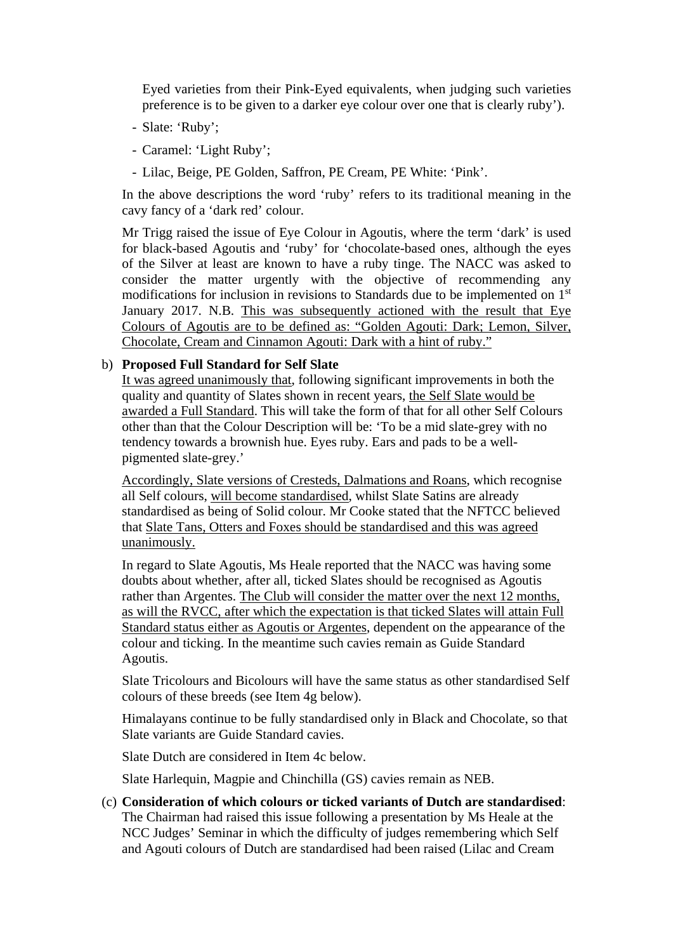Eyed varieties from their Pink-Eyed equivalents, when judging such varieties preference is to be given to a darker eye colour over one that is clearly ruby').

- Slate: 'Ruby';
- Caramel: 'Light Ruby';
- Lilac, Beige, PE Golden, Saffron, PE Cream, PE White: 'Pink'.

In the above descriptions the word 'ruby' refers to its traditional meaning in the cavy fancy of a 'dark red' colour.

Mr Trigg raised the issue of Eye Colour in Agoutis, where the term 'dark' is used for black-based Agoutis and 'ruby' for 'chocolate-based ones, although the eyes of the Silver at least are known to have a ruby tinge. The NACC was asked to consider the matter urgently with the objective of recommending any modifications for inclusion in revisions to Standards due to be implemented on 1st January 2017. N.B. This was subsequently actioned with the result that Eye Colours of Agoutis are to be defined as: "Golden Agouti: Dark; Lemon, Silver, Chocolate, Cream and Cinnamon Agouti: Dark with a hint of ruby."

#### b) **Proposed Full Standard for Self Slate**

It was agreed unanimously that, following significant improvements in both the quality and quantity of Slates shown in recent years, the Self Slate would be awarded a Full Standard. This will take the form of that for all other Self Colours other than that the Colour Description will be: 'To be a mid slate-grey with no tendency towards a brownish hue. Eyes ruby. Ears and pads to be a wellpigmented slate-grey.'

Accordingly, Slate versions of Cresteds, Dalmations and Roans, which recognise all Self colours, will become standardised, whilst Slate Satins are already standardised as being of Solid colour. Mr Cooke stated that the NFTCC believed that Slate Tans, Otters and Foxes should be standardised and this was agreed unanimously.

In regard to Slate Agoutis, Ms Heale reported that the NACC was having some doubts about whether, after all, ticked Slates should be recognised as Agoutis rather than Argentes. The Club will consider the matter over the next 12 months, as will the RVCC, after which the expectation is that ticked Slates will attain Full Standard status either as Agoutis or Argentes, dependent on the appearance of the colour and ticking. In the meantime such cavies remain as Guide Standard Agoutis.

Slate Tricolours and Bicolours will have the same status as other standardised Self colours of these breeds (see Item 4g below).

Himalayans continue to be fully standardised only in Black and Chocolate, so that Slate variants are Guide Standard cavies.

Slate Dutch are considered in Item 4c below.

Slate Harlequin, Magpie and Chinchilla (GS) cavies remain as NEB.

(c) **Consideration of which colours or ticked variants of Dutch are standardised**: The Chairman had raised this issue following a presentation by Ms Heale at the NCC Judges' Seminar in which the difficulty of judges remembering which Self and Agouti colours of Dutch are standardised had been raised (Lilac and Cream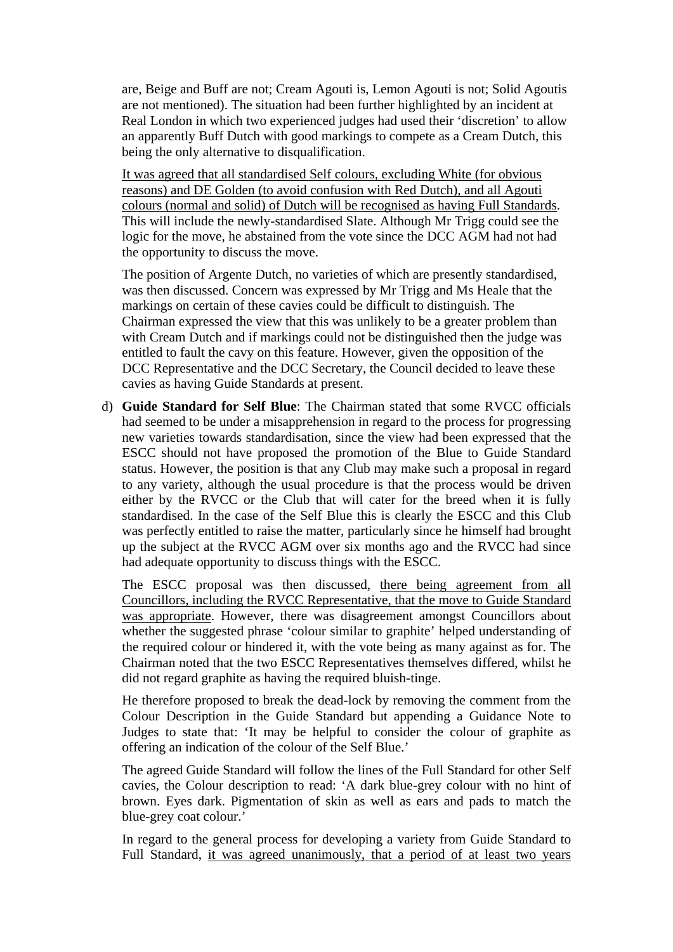are, Beige and Buff are not; Cream Agouti is, Lemon Agouti is not; Solid Agoutis are not mentioned). The situation had been further highlighted by an incident at Real London in which two experienced judges had used their 'discretion' to allow an apparently Buff Dutch with good markings to compete as a Cream Dutch, this being the only alternative to disqualification.

It was agreed that all standardised Self colours, excluding White (for obvious reasons) and DE Golden (to avoid confusion with Red Dutch), and all Agouti colours (normal and solid) of Dutch will be recognised as having Full Standards. This will include the newly-standardised Slate. Although Mr Trigg could see the logic for the move, he abstained from the vote since the DCC AGM had not had the opportunity to discuss the move.

The position of Argente Dutch, no varieties of which are presently standardised, was then discussed. Concern was expressed by Mr Trigg and Ms Heale that the markings on certain of these cavies could be difficult to distinguish. The Chairman expressed the view that this was unlikely to be a greater problem than with Cream Dutch and if markings could not be distinguished then the judge was entitled to fault the cavy on this feature. However, given the opposition of the DCC Representative and the DCC Secretary, the Council decided to leave these cavies as having Guide Standards at present.

d) **Guide Standard for Self Blue**: The Chairman stated that some RVCC officials had seemed to be under a misapprehension in regard to the process for progressing new varieties towards standardisation, since the view had been expressed that the ESCC should not have proposed the promotion of the Blue to Guide Standard status. However, the position is that any Club may make such a proposal in regard to any variety, although the usual procedure is that the process would be driven either by the RVCC or the Club that will cater for the breed when it is fully standardised. In the case of the Self Blue this is clearly the ESCC and this Club was perfectly entitled to raise the matter, particularly since he himself had brought up the subject at the RVCC AGM over six months ago and the RVCC had since had adequate opportunity to discuss things with the ESCC.

The ESCC proposal was then discussed, there being agreement from all Councillors, including the RVCC Representative, that the move to Guide Standard was appropriate. However, there was disagreement amongst Councillors about whether the suggested phrase 'colour similar to graphite' helped understanding of the required colour or hindered it, with the vote being as many against as for. The Chairman noted that the two ESCC Representatives themselves differed, whilst he did not regard graphite as having the required bluish-tinge.

He therefore proposed to break the dead-lock by removing the comment from the Colour Description in the Guide Standard but appending a Guidance Note to Judges to state that: 'It may be helpful to consider the colour of graphite as offering an indication of the colour of the Self Blue.'

The agreed Guide Standard will follow the lines of the Full Standard for other Self cavies, the Colour description to read: 'A dark blue-grey colour with no hint of brown. Eyes dark. Pigmentation of skin as well as ears and pads to match the blue-grey coat colour.'

In regard to the general process for developing a variety from Guide Standard to Full Standard, it was agreed unanimously, that a period of at least two years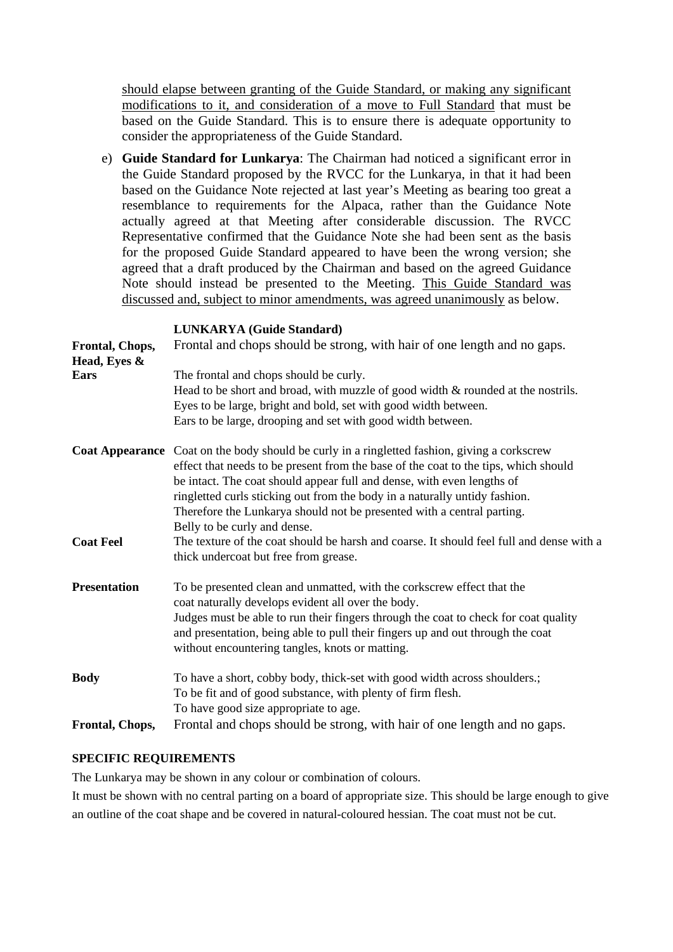should elapse between granting of the Guide Standard, or making any significant modifications to it, and consideration of a move to Full Standard that must be based on the Guide Standard. This is to ensure there is adequate opportunity to consider the appropriateness of the Guide Standard.

e) **Guide Standard for Lunkarya**: The Chairman had noticed a significant error in the Guide Standard proposed by the RVCC for the Lunkarya, in that it had been based on the Guidance Note rejected at last year's Meeting as bearing too great a resemblance to requirements for the Alpaca, rather than the Guidance Note actually agreed at that Meeting after considerable discussion. The RVCC Representative confirmed that the Guidance Note she had been sent as the basis for the proposed Guide Standard appeared to have been the wrong version; she agreed that a draft produced by the Chairman and based on the agreed Guidance Note should instead be presented to the Meeting. This Guide Standard was discussed and, subject to minor amendments, was agreed unanimously as below.

#### **LUNKARYA (Guide Standard)**

| Frontal, Chops,<br>Head, Eyes & | Frontal and chops should be strong, with hair of one length and no gaps.                                                                                                                                                                                      |
|---------------------------------|---------------------------------------------------------------------------------------------------------------------------------------------------------------------------------------------------------------------------------------------------------------|
| <b>Ears</b>                     | The frontal and chops should be curly.<br>Head to be short and broad, with muzzle of good width $\&$ rounded at the nostrils.<br>Eyes to be large, bright and bold, set with good width between.                                                              |
|                                 | Ears to be large, drooping and set with good width between.                                                                                                                                                                                                   |
|                                 | Coat Appearance Coat on the body should be curly in a ringletted fashion, giving a corkscrew<br>effect that needs to be present from the base of the coat to the tips, which should<br>be intact. The coat should appear full and dense, with even lengths of |
|                                 | ringletted curls sticking out from the body in a naturally untidy fashion.<br>Therefore the Lunkarya should not be presented with a central parting.<br>Belly to be curly and dense.                                                                          |
| <b>Coat Feel</b>                | The texture of the coat should be harsh and coarse. It should feel full and dense with a<br>thick undercoat but free from grease.                                                                                                                             |
| <b>Presentation</b>             | To be presented clean and unmatted, with the corkscrew effect that the<br>coat naturally develops evident all over the body.                                                                                                                                  |
|                                 | Judges must be able to run their fingers through the coat to check for coat quality<br>and presentation, being able to pull their fingers up and out through the coat<br>without encountering tangles, knots or matting.                                      |
| <b>Body</b>                     | To have a short, cobby body, thick-set with good width across shoulders.;                                                                                                                                                                                     |
|                                 | To be fit and of good substance, with plenty of firm flesh.                                                                                                                                                                                                   |
|                                 | To have good size appropriate to age.                                                                                                                                                                                                                         |
| Frontal, Chops,                 | Frontal and chops should be strong, with hair of one length and no gaps.                                                                                                                                                                                      |

#### **SPECIFIC REQUIREMENTS**

The Lunkarya may be shown in any colour or combination of colours.

It must be shown with no central parting on a board of appropriate size. This should be large enough to give an outline of the coat shape and be covered in natural-coloured hessian. The coat must not be cut.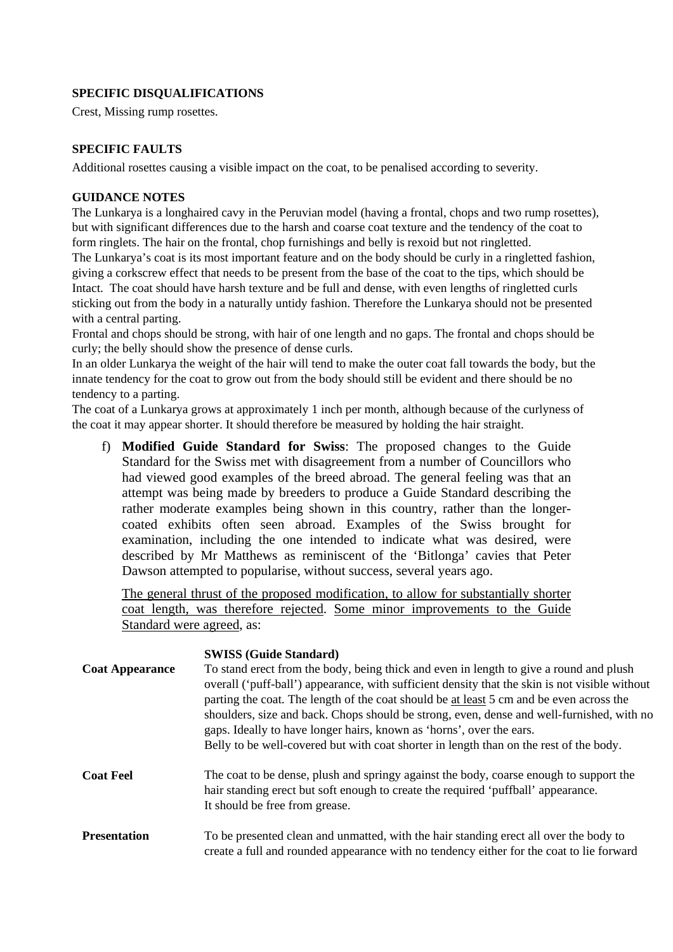### **SPECIFIC DISQUALIFICATIONS**

Crest, Missing rump rosettes.

#### **SPECIFIC FAULTS**

Additional rosettes causing a visible impact on the coat, to be penalised according to severity.

#### **GUIDANCE NOTES**

The Lunkarya is a longhaired cavy in the Peruvian model (having a frontal, chops and two rump rosettes), but with significant differences due to the harsh and coarse coat texture and the tendency of the coat to form ringlets. The hair on the frontal, chop furnishings and belly is rexoid but not ringletted.

The Lunkarya's coat is its most important feature and on the body should be curly in a ringletted fashion, giving a corkscrew effect that needs to be present from the base of the coat to the tips, which should be Intact. The coat should have harsh texture and be full and dense, with even lengths of ringletted curls sticking out from the body in a naturally untidy fashion. Therefore the Lunkarya should not be presented with a central parting.

Frontal and chops should be strong, with hair of one length and no gaps. The frontal and chops should be curly; the belly should show the presence of dense curls.

In an older Lunkarya the weight of the hair will tend to make the outer coat fall towards the body, but the innate tendency for the coat to grow out from the body should still be evident and there should be no tendency to a parting.

The coat of a Lunkarya grows at approximately 1 inch per month, although because of the curlyness of the coat it may appear shorter. It should therefore be measured by holding the hair straight.

f) **Modified Guide Standard for Swiss**: The proposed changes to the Guide Standard for the Swiss met with disagreement from a number of Councillors who had viewed good examples of the breed abroad. The general feeling was that an attempt was being made by breeders to produce a Guide Standard describing the rather moderate examples being shown in this country, rather than the longercoated exhibits often seen abroad. Examples of the Swiss brought for examination, including the one intended to indicate what was desired, were described by Mr Matthews as reminiscent of the 'Bitlonga' cavies that Peter Dawson attempted to popularise, without success, several years ago.

The general thrust of the proposed modification, to allow for substantially shorter coat length, was therefore rejected. Some minor improvements to the Guide Standard were agreed, as:

| <b>Coat Appearance</b> | <b>SWISS (Guide Standard)</b><br>To stand erect from the body, being thick and even in length to give a round and plush<br>overall ('puff-ball') appearance, with sufficient density that the skin is not visible without<br>parting the coat. The length of the coat should be at least 5 cm and be even across the<br>shoulders, size and back. Chops should be strong, even, dense and well-furnished, with no<br>gaps. Ideally to have longer hairs, known as 'horns', over the ears.<br>Belly to be well-covered but with coat shorter in length than on the rest of the body. |
|------------------------|-------------------------------------------------------------------------------------------------------------------------------------------------------------------------------------------------------------------------------------------------------------------------------------------------------------------------------------------------------------------------------------------------------------------------------------------------------------------------------------------------------------------------------------------------------------------------------------|
| <b>Coat Feel</b>       | The coat to be dense, plush and springy against the body, coarse enough to support the<br>hair standing erect but soft enough to create the required 'puffball' appearance.<br>It should be free from grease.                                                                                                                                                                                                                                                                                                                                                                       |
| <b>Presentation</b>    | To be presented clean and unmatted, with the hair standing erect all over the body to<br>create a full and rounded appearance with no tendency either for the coat to lie forward                                                                                                                                                                                                                                                                                                                                                                                                   |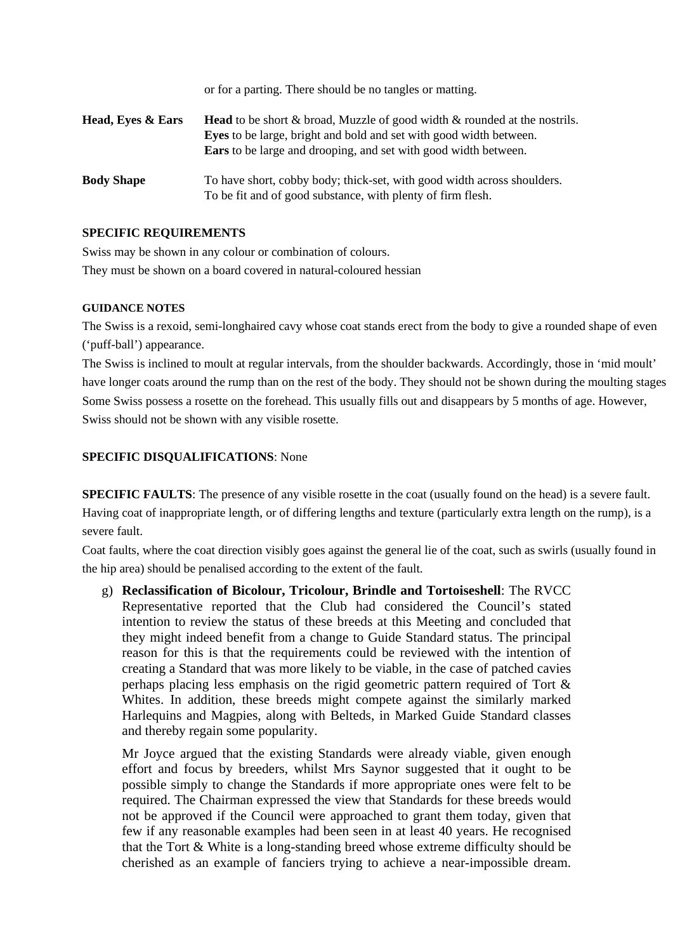|                   | or for a parting. There should be no tangles or matting.                                                                                                                                                                                      |
|-------------------|-----------------------------------------------------------------------------------------------------------------------------------------------------------------------------------------------------------------------------------------------|
| Head, Eyes & Ears | <b>Head</b> to be short $\&$ broad, Muzzle of good width $\&$ rounded at the nostrils.<br><b>Eyes</b> to be large, bright and bold and set with good width between.<br><b>Ears</b> to be large and drooping, and set with good width between. |
| <b>Body Shape</b> | To have short, cobby body; thick-set, with good width across shoulders.<br>To be fit and of good substance, with plenty of firm flesh.                                                                                                        |

#### **SPECIFIC REQUIREMENTS**

Swiss may be shown in any colour or combination of colours. They must be shown on a board covered in natural-coloured hessian

#### **GUIDANCE NOTES**

The Swiss is a rexoid, semi-longhaired cavy whose coat stands erect from the body to give a rounded shape of even ('puff-ball') appearance.

The Swiss is inclined to moult at regular intervals, from the shoulder backwards. Accordingly, those in 'mid moult' have longer coats around the rump than on the rest of the body. They should not be shown during the moulting stages Some Swiss possess a rosette on the forehead. This usually fills out and disappears by 5 months of age. However, Swiss should not be shown with any visible rosette.

#### **SPECIFIC DISQUALIFICATIONS**: None

**SPECIFIC FAULTS:** The presence of any visible rosette in the coat (usually found on the head) is a severe fault. Having coat of inappropriate length, or of differing lengths and texture (particularly extra length on the rump), is a severe fault.

Coat faults, where the coat direction visibly goes against the general lie of the coat, such as swirls (usually found in the hip area) should be penalised according to the extent of the fault.

g) **Reclassification of Bicolour, Tricolour, Brindle and Tortoiseshell**: The RVCC Representative reported that the Club had considered the Council's stated intention to review the status of these breeds at this Meeting and concluded that they might indeed benefit from a change to Guide Standard status. The principal reason for this is that the requirements could be reviewed with the intention of creating a Standard that was more likely to be viable, in the case of patched cavies perhaps placing less emphasis on the rigid geometric pattern required of Tort & Whites. In addition, these breeds might compete against the similarly marked Harlequins and Magpies, along with Belteds, in Marked Guide Standard classes and thereby regain some popularity.

Mr Joyce argued that the existing Standards were already viable, given enough effort and focus by breeders, whilst Mrs Saynor suggested that it ought to be possible simply to change the Standards if more appropriate ones were felt to be required. The Chairman expressed the view that Standards for these breeds would not be approved if the Council were approached to grant them today, given that few if any reasonable examples had been seen in at least 40 years. He recognised that the Tort & White is a long-standing breed whose extreme difficulty should be cherished as an example of fanciers trying to achieve a near-impossible dream.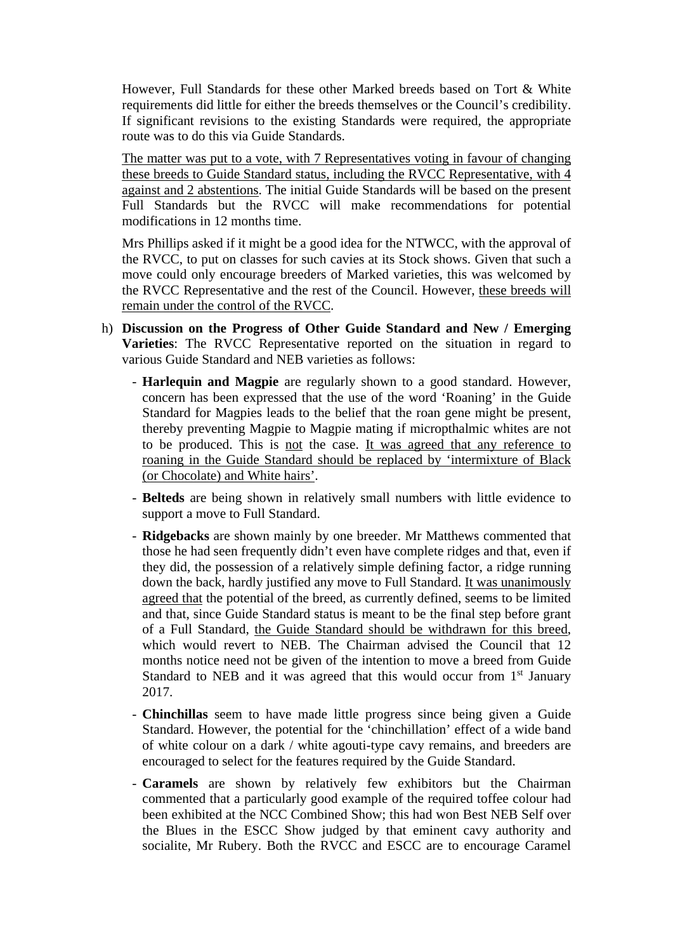However, Full Standards for these other Marked breeds based on Tort & White requirements did little for either the breeds themselves or the Council's credibility. If significant revisions to the existing Standards were required, the appropriate route was to do this via Guide Standards.

The matter was put to a vote, with 7 Representatives voting in favour of changing these breeds to Guide Standard status, including the RVCC Representative, with 4 against and 2 abstentions. The initial Guide Standards will be based on the present Full Standards but the RVCC will make recommendations for potential modifications in 12 months time.

Mrs Phillips asked if it might be a good idea for the NTWCC, with the approval of the RVCC, to put on classes for such cavies at its Stock shows. Given that such a move could only encourage breeders of Marked varieties, this was welcomed by the RVCC Representative and the rest of the Council. However, these breeds will remain under the control of the RVCC.

- h) **Discussion on the Progress of Other Guide Standard and New / Emerging Varieties**: The RVCC Representative reported on the situation in regard to various Guide Standard and NEB varieties as follows:
	- **Harlequin and Magpie** are regularly shown to a good standard. However, concern has been expressed that the use of the word 'Roaning' in the Guide Standard for Magpies leads to the belief that the roan gene might be present, thereby preventing Magpie to Magpie mating if micropthalmic whites are not to be produced. This is not the case. It was agreed that any reference to roaning in the Guide Standard should be replaced by 'intermixture of Black (or Chocolate) and White hairs'.
	- **Belteds** are being shown in relatively small numbers with little evidence to support a move to Full Standard.
	- **Ridgebacks** are shown mainly by one breeder. Mr Matthews commented that those he had seen frequently didn't even have complete ridges and that, even if they did, the possession of a relatively simple defining factor, a ridge running down the back, hardly justified any move to Full Standard. It was unanimously agreed that the potential of the breed, as currently defined, seems to be limited and that, since Guide Standard status is meant to be the final step before grant of a Full Standard, the Guide Standard should be withdrawn for this breed, which would revert to NEB. The Chairman advised the Council that 12 months notice need not be given of the intention to move a breed from Guide Standard to NEB and it was agreed that this would occur from 1<sup>st</sup> January 2017.
	- **Chinchillas** seem to have made little progress since being given a Guide Standard. However, the potential for the 'chinchillation' effect of a wide band of white colour on a dark / white agouti-type cavy remains, and breeders are encouraged to select for the features required by the Guide Standard.
	- **Caramels** are shown by relatively few exhibitors but the Chairman commented that a particularly good example of the required toffee colour had been exhibited at the NCC Combined Show; this had won Best NEB Self over the Blues in the ESCC Show judged by that eminent cavy authority and socialite, Mr Rubery. Both the RVCC and ESCC are to encourage Caramel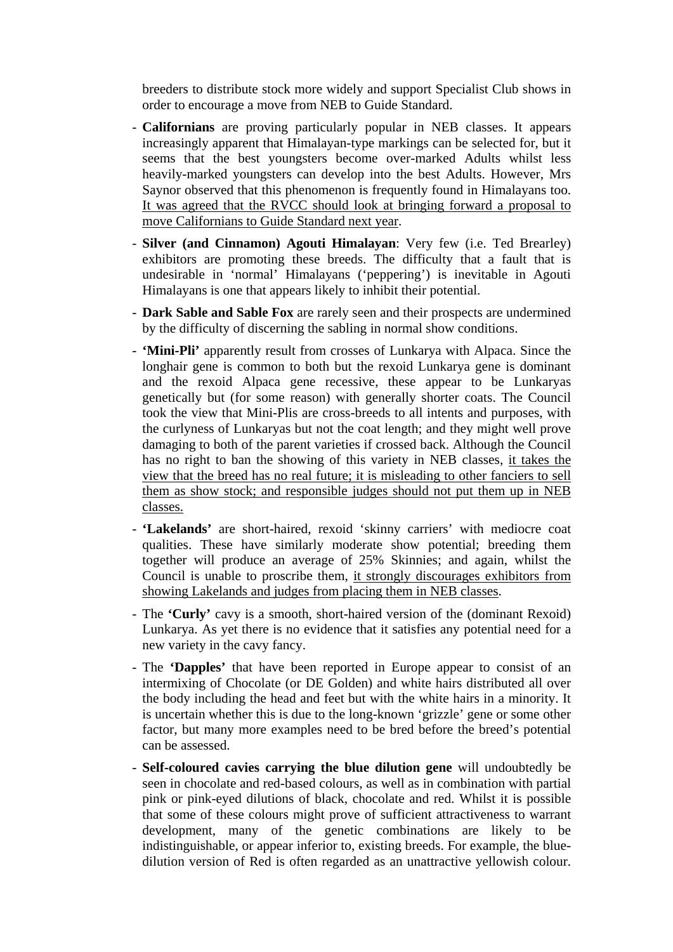breeders to distribute stock more widely and support Specialist Club shows in order to encourage a move from NEB to Guide Standard.

- **Californians** are proving particularly popular in NEB classes. It appears increasingly apparent that Himalayan-type markings can be selected for, but it seems that the best youngsters become over-marked Adults whilst less heavily-marked youngsters can develop into the best Adults. However, Mrs Saynor observed that this phenomenon is frequently found in Himalayans too. It was agreed that the RVCC should look at bringing forward a proposal to move Californians to Guide Standard next year.
- **Silver (and Cinnamon) Agouti Himalayan**: Very few (i.e. Ted Brearley) exhibitors are promoting these breeds. The difficulty that a fault that is undesirable in 'normal' Himalayans ('peppering') is inevitable in Agouti Himalayans is one that appears likely to inhibit their potential.
- **Dark Sable and Sable Fox** are rarely seen and their prospects are undermined by the difficulty of discerning the sabling in normal show conditions.
- **'Mini-Pli'** apparently result from crosses of Lunkarya with Alpaca. Since the longhair gene is common to both but the rexoid Lunkarya gene is dominant and the rexoid Alpaca gene recessive, these appear to be Lunkaryas genetically but (for some reason) with generally shorter coats. The Council took the view that Mini-Plis are cross-breeds to all intents and purposes, with the curlyness of Lunkaryas but not the coat length; and they might well prove damaging to both of the parent varieties if crossed back. Although the Council has no right to ban the showing of this variety in NEB classes, it takes the view that the breed has no real future; it is misleading to other fanciers to sell them as show stock; and responsible judges should not put them up in NEB classes.
- **'Lakelands'** are short-haired, rexoid 'skinny carriers' with mediocre coat qualities. These have similarly moderate show potential; breeding them together will produce an average of 25% Skinnies; and again, whilst the Council is unable to proscribe them, it strongly discourages exhibitors from showing Lakelands and judges from placing them in NEB classes.
- The **'Curly'** cavy is a smooth, short-haired version of the (dominant Rexoid) Lunkarya. As yet there is no evidence that it satisfies any potential need for a new variety in the cavy fancy.
- The **'Dapples'** that have been reported in Europe appear to consist of an intermixing of Chocolate (or DE Golden) and white hairs distributed all over the body including the head and feet but with the white hairs in a minority. It is uncertain whether this is due to the long-known 'grizzle' gene or some other factor, but many more examples need to be bred before the breed's potential can be assessed.
- **Self-coloured cavies carrying the blue dilution gene** will undoubtedly be seen in chocolate and red-based colours, as well as in combination with partial pink or pink-eyed dilutions of black, chocolate and red. Whilst it is possible that some of these colours might prove of sufficient attractiveness to warrant development, many of the genetic combinations are likely to be indistinguishable, or appear inferior to, existing breeds. For example, the bluedilution version of Red is often regarded as an unattractive yellowish colour.